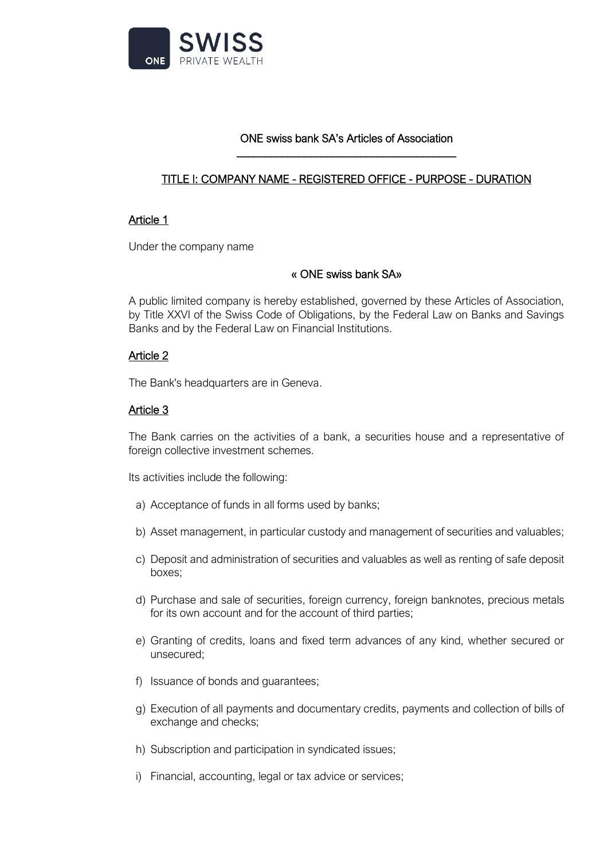

#### ONE swiss bank SA's Articles of Association \_\_\_\_\_\_\_\_\_\_\_\_\_\_\_\_\_\_\_\_\_\_\_\_\_\_\_\_\_\_\_\_\_\_\_\_\_\_\_

# TITLE I: COMPANY NAME - REGISTERED OFFICE - PURPOSE - DURATION

### Article 1

Under the company name

#### « ONE swiss bank SA»

A public limited company is hereby established, governed by these Articles of Association, by Title XXVI of the Swiss Code of Obligations, by the Federal Law on Banks and Savings Banks and by the Federal Law on Financial Institutions.

### Article 2

The Bank's headquarters are in Geneva.

### Article 3

The Bank carries on the activities of a bank, a securities house and a representative of foreign collective investment schemes.

Its activities include the following:

- a) Acceptance of funds in all forms used by banks;
- b) Asset management, in particular custody and management of securities and valuables;
- c) Deposit and administration of securities and valuables as well as renting of safe deposit boxes;
- d) Purchase and sale of securities, foreign currency, foreign banknotes, precious metals for its own account and for the account of third parties;
- e) Granting of credits, loans and fixed term advances of any kind, whether secured or unsecured;
- f) Issuance of bonds and guarantees;
- g) Execution of all payments and documentary credits, payments and collection of bills of exchange and checks;
- h) Subscription and participation in syndicated issues;
- i) Financial, accounting, legal or tax advice or services;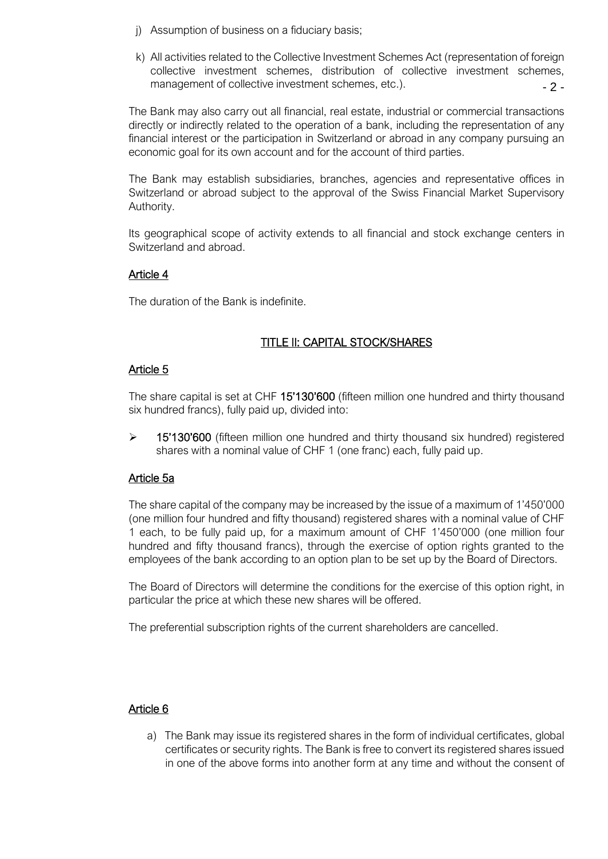- j) Assumption of business on a fiduciary basis;
- $-2$ k) All activities related to the Collective Investment Schemes Act (representation of foreign collective investment schemes, distribution of collective investment schemes, management of collective investment schemes, etc.).

The Bank may also carry out all financial, real estate, industrial or commercial transactions directly or indirectly related to the operation of a bank, including the representation of any financial interest or the participation in Switzerland or abroad in any company pursuing an economic goal for its own account and for the account of third parties.

The Bank may establish subsidiaries, branches, agencies and representative offices in Switzerland or abroad subject to the approval of the Swiss Financial Market Supervisory Authority.

Its geographical scope of activity extends to all financial and stock exchange centers in Switzerland and abroad.

### Article 4

The duration of the Bank is indefinite.

# TITLE II: CAPITAL STOCK/SHARES

### Article 5

The share capital is set at CHF 15'130'600 (fifteen million one hundred and thirty thousand six hundred francs), fully paid up, divided into:

➢ 15'130'600 (fifteen million one hundred and thirty thousand six hundred) registered shares with a nominal value of CHF 1 (one franc) each, fully paid up.

### Article 5a

The share capital of the company may be increased by the issue of a maximum of 1'450'000 (one million four hundred and fifty thousand) registered shares with a nominal value of CHF 1 each, to be fully paid up, for a maximum amount of CHF 1'450'000 (one million four hundred and fifty thousand francs), through the exercise of option rights granted to the employees of the bank according to an option plan to be set up by the Board of Directors.

The Board of Directors will determine the conditions for the exercise of this option right, in particular the price at which these new shares will be offered.

The preferential subscription rights of the current shareholders are cancelled.

### Article 6

a) The Bank may issue its registered shares in the form of individual certificates, global certificates or security rights. The Bank is free to convert its registered shares issued in one of the above forms into another form at any time and without the consent of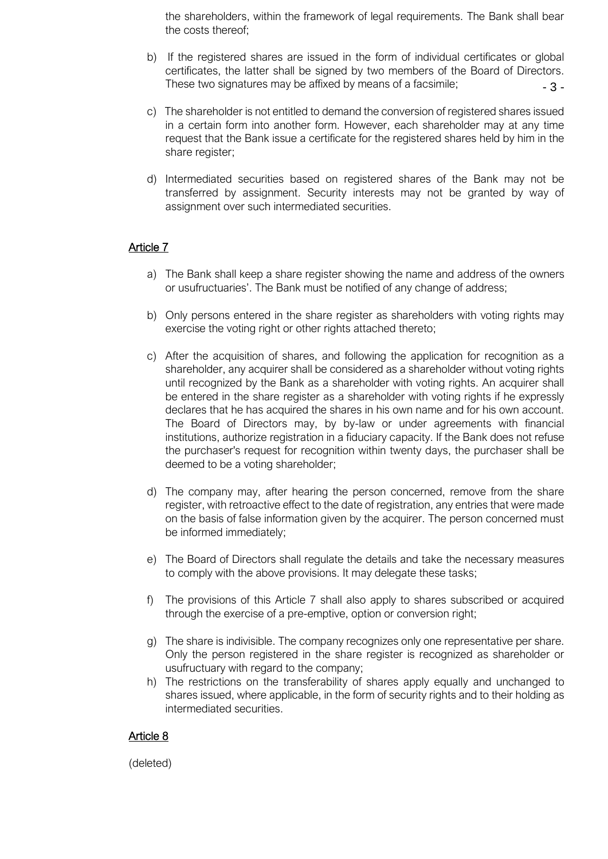the shareholders, within the framework of legal requirements. The Bank shall bear the costs thereof;

- 3 b) If the registered shares are issued in the form of individual certificates or global certificates, the latter shall be signed by two members of the Board of Directors. These two signatures may be affixed by means of a facsimile;
- c) The shareholder is not entitled to demand the conversion of registered shares issued in a certain form into another form. However, each shareholder may at any time request that the Bank issue a certificate for the registered shares held by him in the share register;
- d) Intermediated securities based on registered shares of the Bank may not be transferred by assignment. Security interests may not be granted by way of assignment over such intermediated securities.

# Article 7

- a) The Bank shall keep a share register showing the name and address of the owners or usufructuaries'. The Bank must be notified of any change of address;
- b) Only persons entered in the share register as shareholders with voting rights may exercise the voting right or other rights attached thereto;
- c) After the acquisition of shares, and following the application for recognition as a shareholder, any acquirer shall be considered as a shareholder without voting rights until recognized by the Bank as a shareholder with voting rights. An acquirer shall be entered in the share register as a shareholder with voting rights if he expressly declares that he has acquired the shares in his own name and for his own account. The Board of Directors may, by by-law or under agreements with financial institutions, authorize registration in a fiduciary capacity. If the Bank does not refuse the purchaser's request for recognition within twenty days, the purchaser shall be deemed to be a voting shareholder;
- d) The company may, after hearing the person concerned, remove from the share register, with retroactive effect to the date of registration, any entries that were made on the basis of false information given by the acquirer. The person concerned must be informed immediately;
- e) The Board of Directors shall regulate the details and take the necessary measures to comply with the above provisions. It may delegate these tasks;
- f) The provisions of this Article 7 shall also apply to shares subscribed or acquired through the exercise of a pre-emptive, option or conversion right;
- g) The share is indivisible. The company recognizes only one representative per share. Only the person registered in the share register is recognized as shareholder or usufructuary with regard to the company;
- h) The restrictions on the transferability of shares apply equally and unchanged to shares issued, where applicable, in the form of security rights and to their holding as intermediated securities.

# Article 8

(deleted)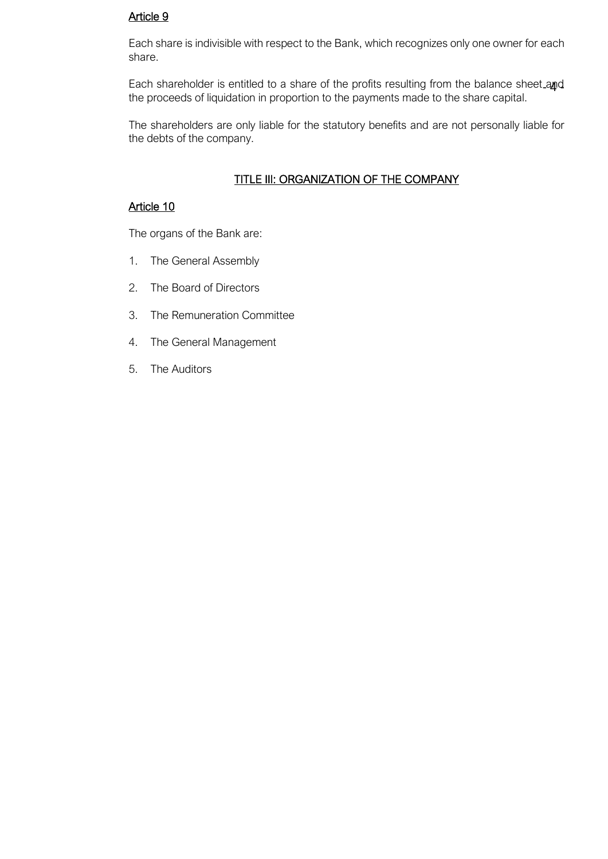# Article 9

Each share is indivisible with respect to the Bank, which recognizes only one owner for each share.

Each shareholder is entitled to a share of the profits resulting from the balance sheet and the proceeds of liquidation in proportion to the payments made to the share capital.

The shareholders are only liable for the statutory benefits and are not personally liable for the debts of the company.

# TITLE III: ORGANIZATION OF THE COMPANY

# Article 10

The organs of the Bank are:

- 1. The General Assembly
- 2. The Board of Directors
- 3. The Remuneration Committee
- 4. The General Management
- 5. The Auditors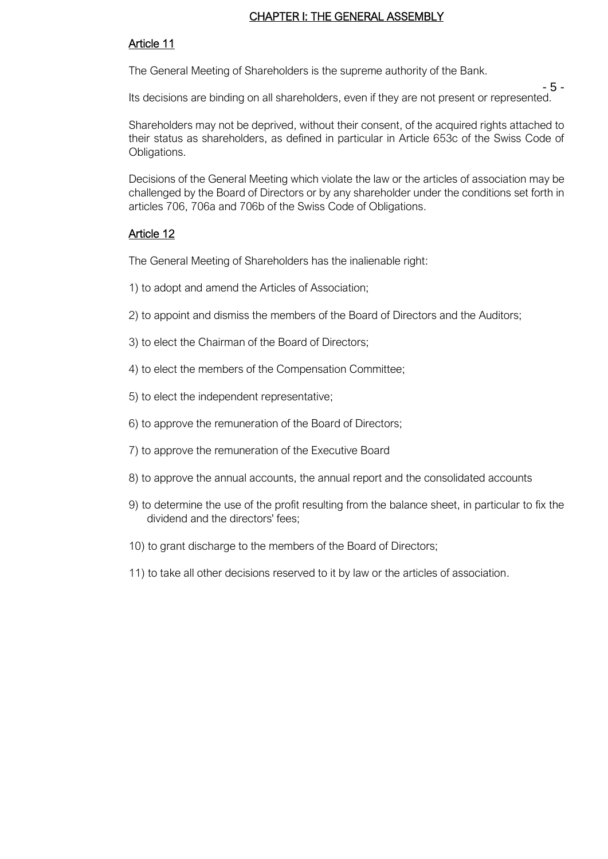#### CHAPTER I: THE GENERAL ASSEMBLY

### Article 11

The General Meeting of Shareholders is the supreme authority of the Bank.

- 5 - Its decisions are binding on all shareholders, even if they are not present or represented.

Shareholders may not be deprived, without their consent, of the acquired rights attached to their status as shareholders, as defined in particular in Article 653c of the Swiss Code of Obligations.

Decisions of the General Meeting which violate the law or the articles of association may be challenged by the Board of Directors or by any shareholder under the conditions set forth in articles 706, 706a and 706b of the Swiss Code of Obligations.

### Article 12

The General Meeting of Shareholders has the inalienable right:

- 1) to adopt and amend the Articles of Association;
- 2) to appoint and dismiss the members of the Board of Directors and the Auditors;
- 3) to elect the Chairman of the Board of Directors;
- 4) to elect the members of the Compensation Committee;
- 5) to elect the independent representative;
- 6) to approve the remuneration of the Board of Directors;
- 7) to approve the remuneration of the Executive Board
- 8) to approve the annual accounts, the annual report and the consolidated accounts
- 9) to determine the use of the profit resulting from the balance sheet, in particular to fix the dividend and the directors' fees;
- 10) to grant discharge to the members of the Board of Directors;
- 11) to take all other decisions reserved to it by law or the articles of association.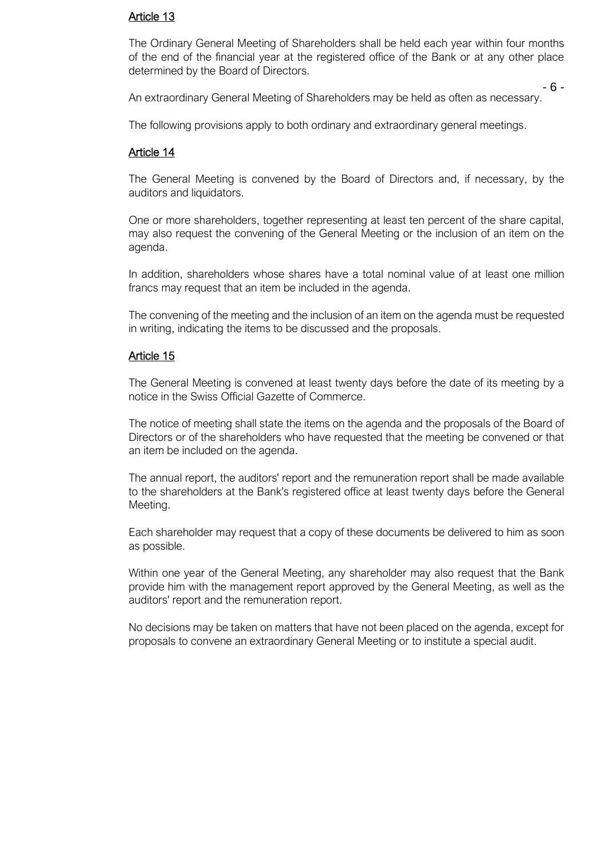#### Article 13

The Ordinary General Meeting of Shareholders shall be held each year within four months of the end of the financial year at the registered office of the Bank or at any other place determined by the Board of Directors.

- 6 - An extraordinary General Meeting of Shareholders may be held as often as necessary.

The following provisions apply to both ordinary and extraordinary general meetings.

### Article 14

The General Meeting is convened by the Board of Directors and, if necessary, by the auditors and liquidators.

One or more shareholders, together representing at least ten percent of the share capital, may also request the convening of the General Meeting or the inclusion of an item on the agenda.

In addition, shareholders whose shares have a total nominal value of at least one million francs may request that an item be included in the agenda.

The convening of the meeting and the inclusion of an item on the agenda must be requested in writing, indicating the items to be discussed and the proposals.

### Article 15

The General Meeting is convened at least twenty days before the date of its meeting by a notice in the Swiss Official Gazette of Commerce.

The notice of meeting shall state the items on the agenda and the proposals of the Board of Directors or of the shareholders who have requested that the meeting be convened or that an item be included on the agenda.

The annual report, the auditors' report and the remuneration report shall be made available to the shareholders at the Bank's registered office at least twenty days before the General Meeting.

Each shareholder may request that a copy of these documents be delivered to him as soon as possible.

Within one year of the General Meeting, any shareholder may also request that the Bank provide him with the management report approved by the General Meeting, as well as the auditors' report and the remuneration report.

No decisions may be taken on matters that have not been placed on the agenda, except for proposals to convene an extraordinary General Meeting or to institute a special audit.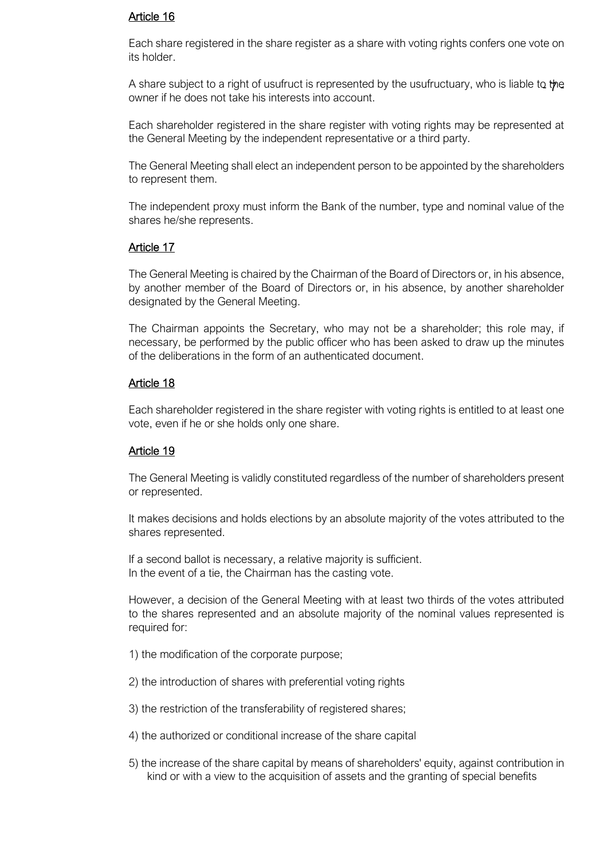### Article 16

Each share registered in the share register as a share with voting rights confers one vote on its holder.

A share subject to a right of usufruct is represented by the usufructuary, who is liable to the owner if he does not take his interests into account.

Each shareholder registered in the share register with voting rights may be represented at the General Meeting by the independent representative or a third party.

The General Meeting shall elect an independent person to be appointed by the shareholders to represent them.

The independent proxy must inform the Bank of the number, type and nominal value of the shares he/she represents.

### Article 17

The General Meeting is chaired by the Chairman of the Board of Directors or, in his absence, by another member of the Board of Directors or, in his absence, by another shareholder designated by the General Meeting.

The Chairman appoints the Secretary, who may not be a shareholder; this role may, if necessary, be performed by the public officer who has been asked to draw up the minutes of the deliberations in the form of an authenticated document.

### Article 18

Each shareholder registered in the share register with voting rights is entitled to at least one vote, even if he or she holds only one share.

### Article 19

The General Meeting is validly constituted regardless of the number of shareholders present or represented.

It makes decisions and holds elections by an absolute majority of the votes attributed to the shares represented.

If a second ballot is necessary, a relative majority is sufficient. In the event of a tie, the Chairman has the casting vote.

However, a decision of the General Meeting with at least two thirds of the votes attributed to the shares represented and an absolute majority of the nominal values represented is required for:

- 1) the modification of the corporate purpose;
- 2) the introduction of shares with preferential voting rights
- 3) the restriction of the transferability of registered shares;
- 4) the authorized or conditional increase of the share capital
- 5) the increase of the share capital by means of shareholders' equity, against contribution in kind or with a view to the acquisition of assets and the granting of special benefits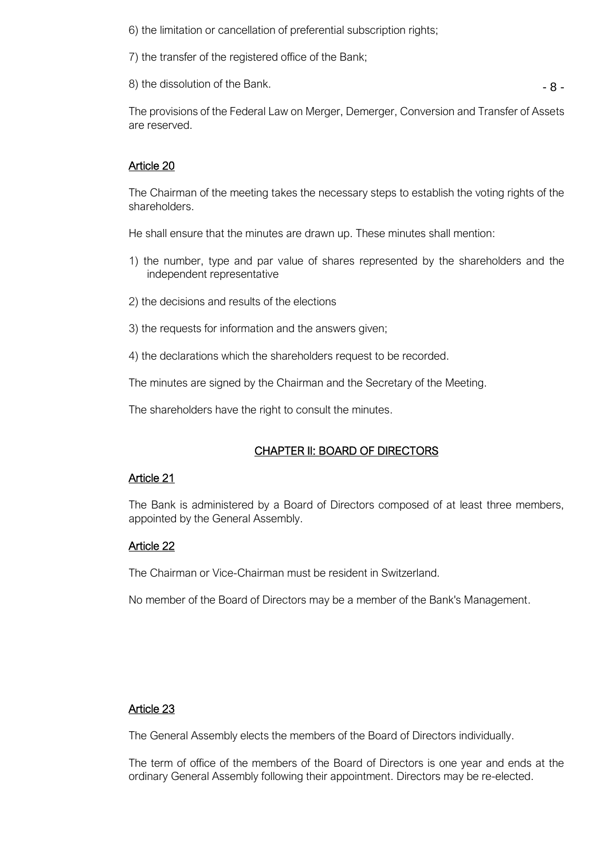6) the limitation or cancellation of preferential subscription rights;

7) the transfer of the registered office of the Bank;

8) the dissolution of the Bank.

- 8 -

The provisions of the Federal Law on Merger, Demerger, Conversion and Transfer of Assets are reserved.

## Article 20

The Chairman of the meeting takes the necessary steps to establish the voting rights of the shareholders.

He shall ensure that the minutes are drawn up. These minutes shall mention:

- 1) the number, type and par value of shares represented by the shareholders and the independent representative
- 2) the decisions and results of the elections
- 3) the requests for information and the answers given;
- 4) the declarations which the shareholders request to be recorded.

The minutes are signed by the Chairman and the Secretary of the Meeting.

The shareholders have the right to consult the minutes.

# CHAPTER II: BOARD OF DIRECTORS

### Article 21

The Bank is administered by a Board of Directors composed of at least three members, appointed by the General Assembly.

### Article 22

The Chairman or Vice-Chairman must be resident in Switzerland.

No member of the Board of Directors may be a member of the Bank's Management.

### Article 23

The General Assembly elects the members of the Board of Directors individually.

The term of office of the members of the Board of Directors is one year and ends at the ordinary General Assembly following their appointment. Directors may be re-elected.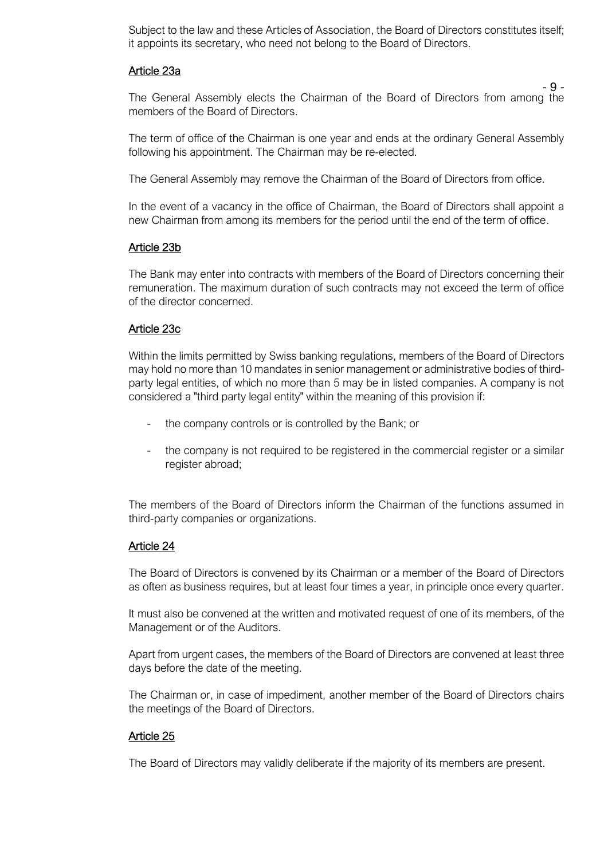Subject to the law and these Articles of Association, the Board of Directors constitutes itself; it appoints its secretary, who need not belong to the Board of Directors.

#### Article 23a

 $-9 -$ The General Assembly elects the Chairman of the Board of Directors from among the members of the Board of Directors.

The term of office of the Chairman is one year and ends at the ordinary General Assembly following his appointment. The Chairman may be re-elected.

The General Assembly may remove the Chairman of the Board of Directors from office.

In the event of a vacancy in the office of Chairman, the Board of Directors shall appoint a new Chairman from among its members for the period until the end of the term of office.

### Article 23b

The Bank may enter into contracts with members of the Board of Directors concerning their remuneration. The maximum duration of such contracts may not exceed the term of office of the director concerned.

### Article 23c

Within the limits permitted by Swiss banking regulations, members of the Board of Directors may hold no more than 10 mandates in senior management or administrative bodies of thirdparty legal entities, of which no more than 5 may be in listed companies. A company is not considered a "third party legal entity" within the meaning of this provision if:

- the company controls or is controlled by the Bank; or
- the company is not required to be registered in the commercial register or a similar register abroad;

The members of the Board of Directors inform the Chairman of the functions assumed in third-party companies or organizations.

#### Article 24

The Board of Directors is convened by its Chairman or a member of the Board of Directors as often as business requires, but at least four times a year, in principle once every quarter.

It must also be convened at the written and motivated request of one of its members, of the Management or of the Auditors.

Apart from urgent cases, the members of the Board of Directors are convened at least three days before the date of the meeting.

The Chairman or, in case of impediment, another member of the Board of Directors chairs the meetings of the Board of Directors.

### Article 25

The Board of Directors may validly deliberate if the majority of its members are present.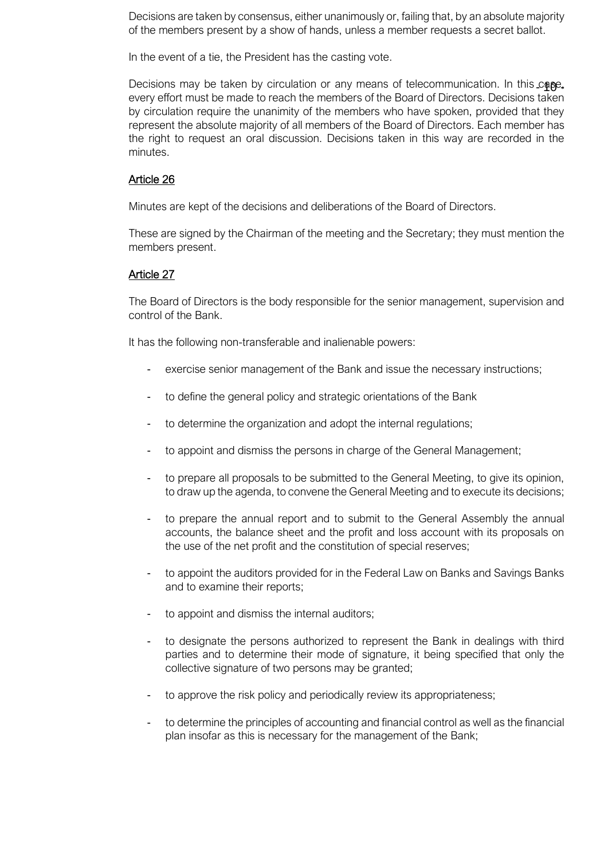Decisions are taken by consensus, either unanimously or, failing that, by an absolute majority of the members present by a show of hands, unless a member requests a secret ballot.

In the event of a tie, the President has the casting vote.

Decisions may be taken by circulation or any means of telecommunication. In this cope, every effort must be made to reach the members of the Board of Directors. Decisions taken by circulation require the unanimity of the members who have spoken, provided that they represent the absolute majority of all members of the Board of Directors. Each member has the right to request an oral discussion. Decisions taken in this way are recorded in the minutes.

#### Article 26

Minutes are kept of the decisions and deliberations of the Board of Directors.

These are signed by the Chairman of the meeting and the Secretary; they must mention the members present.

### Article 27

The Board of Directors is the body responsible for the senior management, supervision and control of the Bank.

It has the following non-transferable and inalienable powers:

- exercise senior management of the Bank and issue the necessary instructions;
- to define the general policy and strategic orientations of the Bank
- to determine the organization and adopt the internal regulations;
- to appoint and dismiss the persons in charge of the General Management;
- to prepare all proposals to be submitted to the General Meeting, to give its opinion, to draw up the agenda, to convene the General Meeting and to execute its decisions;
- to prepare the annual report and to submit to the General Assembly the annual accounts, the balance sheet and the profit and loss account with its proposals on the use of the net profit and the constitution of special reserves;
- to appoint the auditors provided for in the Federal Law on Banks and Savings Banks and to examine their reports;
- to appoint and dismiss the internal auditors;
- to designate the persons authorized to represent the Bank in dealings with third parties and to determine their mode of signature, it being specified that only the collective signature of two persons may be granted;
- to approve the risk policy and periodically review its appropriateness;
- to determine the principles of accounting and financial control as well as the financial plan insofar as this is necessary for the management of the Bank;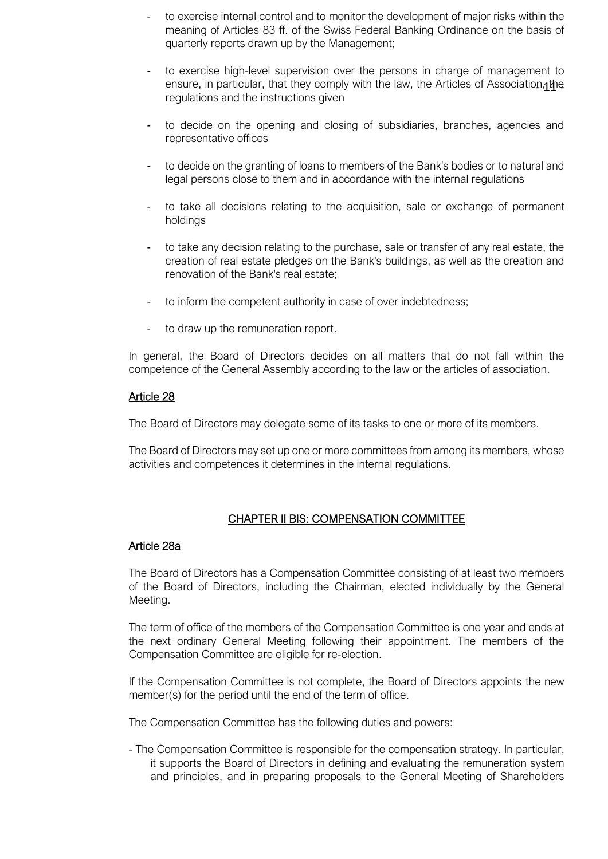- to exercise internal control and to monitor the development of major risks within the meaning of Articles 83 ff. of the Swiss Federal Banking Ordinance on the basis of quarterly reports drawn up by the Management;
- ensure, in particular, that they comply with the law, the Articles of Association, the - to exercise high-level supervision over the persons in charge of management to regulations and the instructions given
- to decide on the opening and closing of subsidiaries, branches, agencies and representative offices
- to decide on the granting of loans to members of the Bank's bodies or to natural and legal persons close to them and in accordance with the internal regulations
- to take all decisions relating to the acquisition, sale or exchange of permanent holdings
- to take any decision relating to the purchase, sale or transfer of any real estate, the creation of real estate pledges on the Bank's buildings, as well as the creation and renovation of the Bank's real estate;
- to inform the competent authority in case of over indebtedness;
- to draw up the remuneration report.

In general, the Board of Directors decides on all matters that do not fall within the competence of the General Assembly according to the law or the articles of association.

### Article 28

The Board of Directors may delegate some of its tasks to one or more of its members.

The Board of Directors may set up one or more committees from among its members, whose activities and competences it determines in the internal regulations.

### CHAPTER II BIS: COMPENSATION COMMITTEE

#### Article 28a

The Board of Directors has a Compensation Committee consisting of at least two members of the Board of Directors, including the Chairman, elected individually by the General Meeting.

The term of office of the members of the Compensation Committee is one year and ends at the next ordinary General Meeting following their appointment. The members of the Compensation Committee are eligible for re-election.

If the Compensation Committee is not complete, the Board of Directors appoints the new member(s) for the period until the end of the term of office.

The Compensation Committee has the following duties and powers:

- The Compensation Committee is responsible for the compensation strategy. In particular, it supports the Board of Directors in defining and evaluating the remuneration system and principles, and in preparing proposals to the General Meeting of Shareholders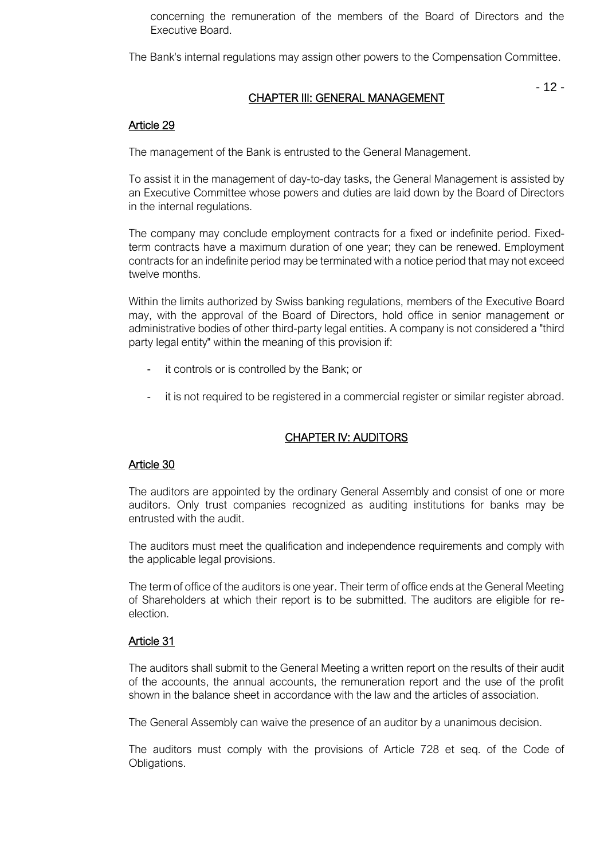concerning the remuneration of the members of the Board of Directors and the Executive Board.

The Bank's internal regulations may assign other powers to the Compensation Committee.

# CHAPTER III: GENERAL MANAGEMENT

- 12 -

## Article 29

The management of the Bank is entrusted to the General Management.

To assist it in the management of day-to-day tasks, the General Management is assisted by an Executive Committee whose powers and duties are laid down by the Board of Directors in the internal regulations.

The company may conclude employment contracts for a fixed or indefinite period. Fixedterm contracts have a maximum duration of one year; they can be renewed. Employment contracts for an indefinite period may be terminated with a notice period that may not exceed twelve months.

Within the limits authorized by Swiss banking regulations, members of the Executive Board may, with the approval of the Board of Directors, hold office in senior management or administrative bodies of other third-party legal entities. A company is not considered a "third party legal entity" within the meaning of this provision if:

- it controls or is controlled by the Bank; or
- it is not required to be registered in a commercial register or similar register abroad.

### CHAPTER IV: AUDITORS

### Article 30

The auditors are appointed by the ordinary General Assembly and consist of one or more auditors. Only trust companies recognized as auditing institutions for banks may be entrusted with the audit.

The auditors must meet the qualification and independence requirements and comply with the applicable legal provisions.

The term of office of the auditors is one year. Their term of office ends at the General Meeting of Shareholders at which their report is to be submitted. The auditors are eligible for reelection.

### Article 31

The auditors shall submit to the General Meeting a written report on the results of their audit of the accounts, the annual accounts, the remuneration report and the use of the profit shown in the balance sheet in accordance with the law and the articles of association.

The General Assembly can waive the presence of an auditor by a unanimous decision.

The auditors must comply with the provisions of Article 728 et seq. of the Code of Obligations.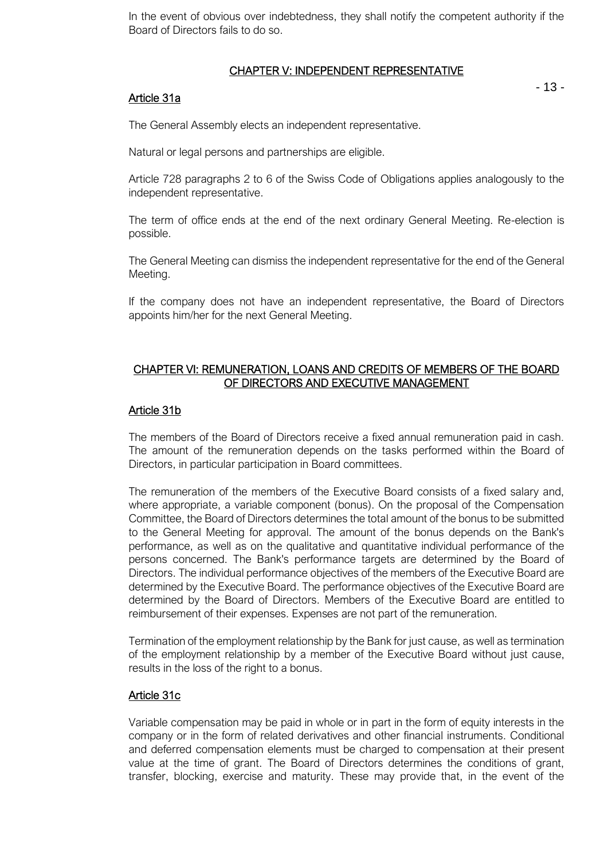In the event of obvious over indebtedness, they shall notify the competent authority if the Board of Directors fails to do so.

### CHAPTER V: INDEPENDENT REPRESENTATIVE

### Article 31a

- 13 -

The General Assembly elects an independent representative.

Natural or legal persons and partnerships are eligible.

Article 728 paragraphs 2 to 6 of the Swiss Code of Obligations applies analogously to the independent representative.

The term of office ends at the end of the next ordinary General Meeting. Re-election is possible.

The General Meeting can dismiss the independent representative for the end of the General Meeting.

If the company does not have an independent representative, the Board of Directors appoints him/her for the next General Meeting.

## CHAPTER VI: REMUNERATION, LOANS AND CREDITS OF MEMBERS OF THE BOARD OF DIRECTORS AND EXECUTIVE MANAGEMENT

## Article 31b

The members of the Board of Directors receive a fixed annual remuneration paid in cash. The amount of the remuneration depends on the tasks performed within the Board of Directors, in particular participation in Board committees.

The remuneration of the members of the Executive Board consists of a fixed salary and, where appropriate, a variable component (bonus). On the proposal of the Compensation Committee, the Board of Directors determines the total amount of the bonus to be submitted to the General Meeting for approval. The amount of the bonus depends on the Bank's performance, as well as on the qualitative and quantitative individual performance of the persons concerned. The Bank's performance targets are determined by the Board of Directors. The individual performance objectives of the members of the Executive Board are determined by the Executive Board. The performance objectives of the Executive Board are determined by the Board of Directors. Members of the Executive Board are entitled to reimbursement of their expenses. Expenses are not part of the remuneration.

Termination of the employment relationship by the Bank for just cause, as well as termination of the employment relationship by a member of the Executive Board without just cause, results in the loss of the right to a bonus.

# Article 31c

Variable compensation may be paid in whole or in part in the form of equity interests in the company or in the form of related derivatives and other financial instruments. Conditional and deferred compensation elements must be charged to compensation at their present value at the time of grant. The Board of Directors determines the conditions of grant, transfer, blocking, exercise and maturity. These may provide that, in the event of the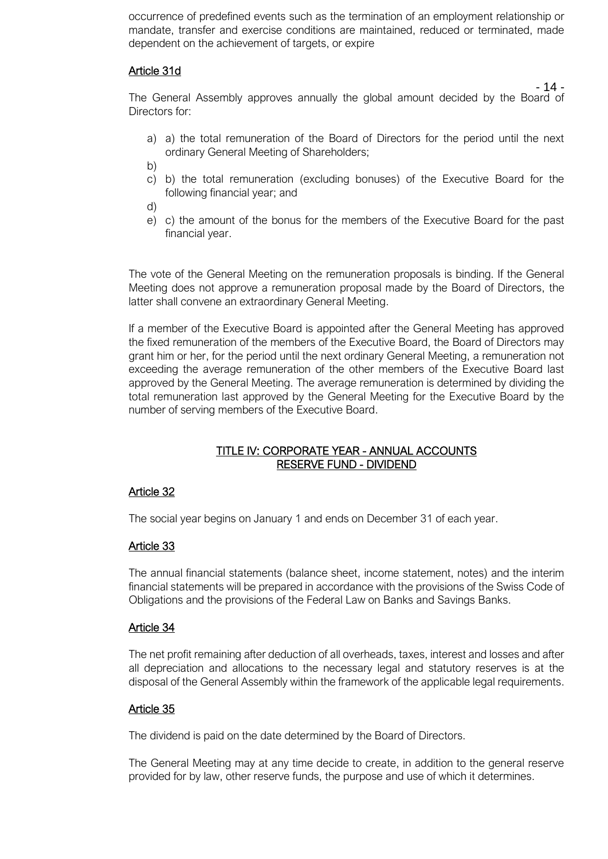occurrence of predefined events such as the termination of an employment relationship or mandate, transfer and exercise conditions are maintained, reduced or terminated, made dependent on the achievement of targets, or expire

#### Article 31d

 $-14-$ 

The General Assembly approves annually the global amount decided by the Board of Directors for:

- a) a) the total remuneration of the Board of Directors for the period until the next ordinary General Meeting of Shareholders;
- b)
- c) b) the total remuneration (excluding bonuses) of the Executive Board for the following financial year; and
- d)
- e) c) the amount of the bonus for the members of the Executive Board for the past financial year.

The vote of the General Meeting on the remuneration proposals is binding. If the General Meeting does not approve a remuneration proposal made by the Board of Directors, the latter shall convene an extraordinary General Meeting.

If a member of the Executive Board is appointed after the General Meeting has approved the fixed remuneration of the members of the Executive Board, the Board of Directors may grant him or her, for the period until the next ordinary General Meeting, a remuneration not exceeding the average remuneration of the other members of the Executive Board last approved by the General Meeting. The average remuneration is determined by dividing the total remuneration last approved by the General Meeting for the Executive Board by the number of serving members of the Executive Board.

### TITLE IV: CORPORATE YEAR - ANNUAL ACCOUNTS RESERVE FUND - DIVIDEND

### Article 32

The social year begins on January 1 and ends on December 31 of each year.

#### Article 33

The annual financial statements (balance sheet, income statement, notes) and the interim financial statements will be prepared in accordance with the provisions of the Swiss Code of Obligations and the provisions of the Federal Law on Banks and Savings Banks.

#### Article 34

The net profit remaining after deduction of all overheads, taxes, interest and losses and after all depreciation and allocations to the necessary legal and statutory reserves is at the disposal of the General Assembly within the framework of the applicable legal requirements.

#### Article 35

The dividend is paid on the date determined by the Board of Directors.

The General Meeting may at any time decide to create, in addition to the general reserve provided for by law, other reserve funds, the purpose and use of which it determines.